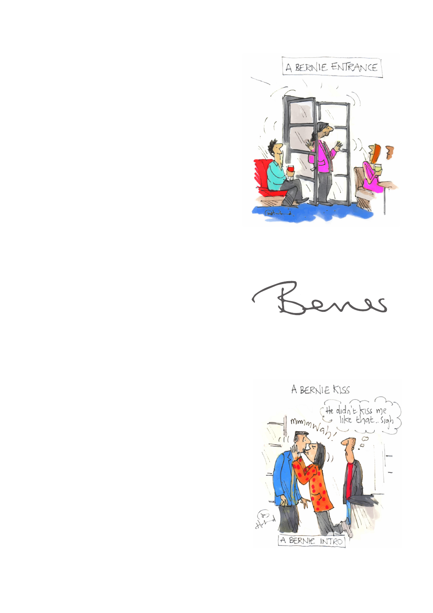



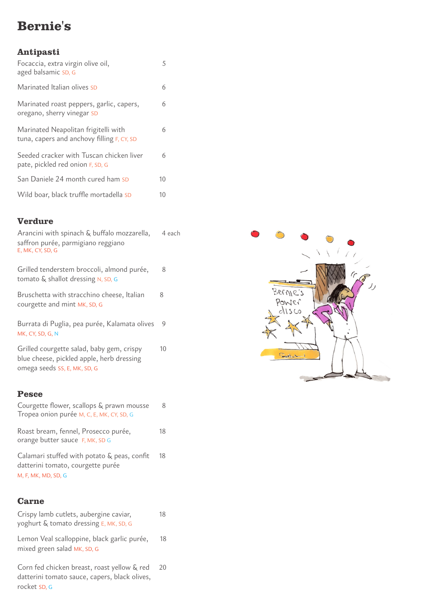## **Bernie's**

## **Antipasti**

| Focaccia, extra virgin olive oil,<br>aged balsamic SD, G                           | 5  |
|------------------------------------------------------------------------------------|----|
| Marinated Italian olives SD                                                        | 6  |
| Marinated roast peppers, garlic, capers,<br>oregano, sherry vinegar SD             | 6  |
| Marinated Neapolitan frigitelli with<br>tuna, capers and anchovy filling F, CY, SD | 6  |
| Seeded cracker with Tuscan chicken liver<br>pate, pickled red onion F, SD, G       | 6  |
| San Daniele 24 month cured ham SD                                                  | 10 |
| Wild boar, black truffle mortadella SD                                             | 10 |

## **Verdure**

| Arancini with spinach & buffalo mozzarella,<br>saffron purée, parmigiano reggiano<br>E, MK, CY, SD, G | 4 each |
|-------------------------------------------------------------------------------------------------------|--------|
| Grilled tenderstem broccoli, almond purée,<br>tomato $\&$ shallot dressing N, SD, G                   | 8      |
| Bruschetta with stracchino cheese, Italian<br>courgette and mint MK, SD, G                            | 8      |
| Burrata di Puglia, pea purée, Kalamata olives<br>MK, CY, SD, G, N                                     | 9      |
| Grilled courgette salad, baby gem, crispy<br>blue cheese, pickled apple, herb dressing                | 10     |

#### **Pesce**

omega seeds SS, E, MK, SD, G

| Courgette flower, scallops & prawn mousse |  |
|-------------------------------------------|--|
| Tropea onion purée M, C, E, MK, CY, SD, G |  |

Roast bream, fennel, Prosecco purée, 18 orange butter sauce F, MK, SD G

Calamari stuffed with potato & peas, confit 18 datterini tomato, courgette purée M, F, MK, MD, SD, G

## **Carne**

| Crispy lamb cutlets, aubergine caviar,<br>yoghurt & tomato dressing E, MK, SD, G                             | 18 |
|--------------------------------------------------------------------------------------------------------------|----|
| Lemon Veal scalloppine, black garlic purée,<br>mixed green salad MK, SD, G                                   | 18 |
| Corn fed chicken breast, roast yellow & red<br>datterini tomato sauce, capers, black olives,<br>rocket SD, G | 20 |

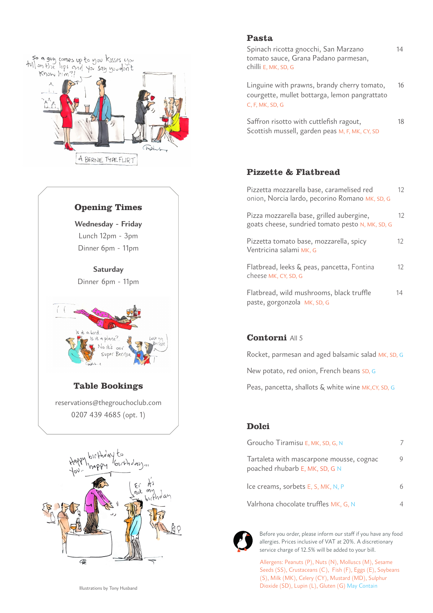

## **Opening Times**

**Wednesday - Friday** Lunch 12pm - 3pm Dinner 6pm - 11pm

**Saturday** Dinner 6pm - 11pm



# **Table Bookings**

reservations@thegrouchoclub.com 0207 439 4685 (opt. 1)



#### **Pasta**

Spinach ricotta gnocchi, San Marzano 14 tomato sauce, Grana Padano parmesan, chilli E, MK, SD, G

Linguine with prawns, brandy cherry tomato, 16 courgette, mullet bottarga, lemon pangrattato C, F, MK, SD, G

Saffron risotto with cuttlefish ragout, 18 Scottish mussell, garden peas M, F, MK, CY, SD

#### **Pizzette & Flatbread**

| Pizzetta mozzarella base, caramelised red<br>onion, Norcia lardo, pecorino Romano MK, SD, G   | 12  |
|-----------------------------------------------------------------------------------------------|-----|
| Pizza mozzarella base, grilled aubergine,<br>goats cheese, sundried tomato pesto N, MK, SD, G | 12  |
| Pizzetta tomato base, mozzarella, spicy<br>Ventricina salami MK, G                            | 12. |
| Flatbread, leeks & peas, pancetta, Fontina<br>cheese MK, CY, SD, G                            | 12  |
| Flatbread, wild mushrooms, black truffle<br>paste, gorgonzola MK, SD, G                       | 14  |

#### **Contorni** All 5

Rocket, parmesan and aged balsamic salad MK, SD, G

New potato, red onion, French beans SD, G

Peas, pancetta, shallots & white wine MK,CY, SD, G

#### **Dolci**

| Groucho Tiramisu E, MK, SD, G, N                                           |  |
|----------------------------------------------------------------------------|--|
| Tartaleta with mascarpone mousse, cognac<br>poached rhubarb E, MK, SD, G N |  |
| Ice creams, sorbets E, S, MK, N, P                                         |  |
| Valrhona chocolate truffles MK, G, N                                       |  |



Before you order, please inform our staff if you have any food allergies. Prices inclusive of VAT at 20%. A discretionary service charge of 12.5% will be added to your bill.

Allergens: Peanuts (P), Nuts (N), Molluscs (M), Sesame Seeds (SS), Crustaceans (C), Fish (F), Eggs (E), Soybeans (S), Milk (MK), Celery (CY), Mustard (MD), Sulphur Dioxide (SD), Lupin (L), Gluten (G) May Contain